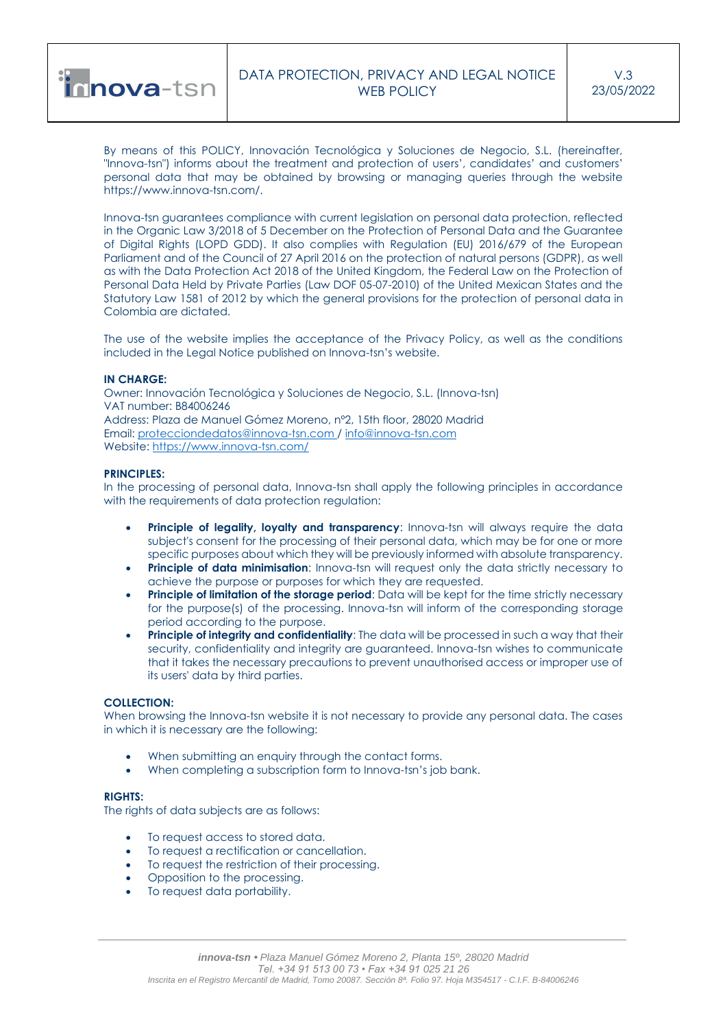

## DATA PROTECTION, PRIVACY AND LEGAL NOTICE WEB POLICY

By means of this POLICY, Innovación Tecnológica y Soluciones de Negocio, S.L. (hereinafter, "Innova-tsn") informs about the treatment and protection of users', candidates' and customers' personal data that may be obtained by browsing or managing queries through the website https://www.innova-tsn.com/.

Innova-tsn guarantees compliance with current legislation on personal data protection, reflected in the Organic Law 3/2018 of 5 December on the Protection of Personal Data and the Guarantee of Digital Rights (LOPD GDD). It also complies with Regulation (EU) 2016/679 of the European Parliament and of the Council of 27 April 2016 on the protection of natural persons (GDPR), as well as with the Data Protection Act 2018 of the United Kingdom, the Federal Law on the Protection of Personal Data Held by Private Parties (Law DOF 05-07-2010) of the United Mexican States and the Statutory Law 1581 of 2012 by which the general provisions for the protection of personal data in Colombia are dictated.

The use of the website implies the acceptance of the Privacy Policy, as well as the conditions included in the Legal Notice published on Innova-tsn's website.

#### **IN CHARGE:**

Owner: Innovación Tecnológica y Soluciones de Negocio, S.L. (Innova-tsn) VAT number: B84006246 Address: Plaza de Manuel Gómez Moreno, nº2, 15th floor, 28020 Madrid Email: [protecciondedatos@innova-tsn.com /](mailto:protecciondedatos@innova-tsn.com) [info@innova-tsn.com](mailto:info@innova-tsn.com) Website:<https://www.innova-tsn.com/>

#### **PRINCIPLES:**

In the processing of personal data, Innova-tsn shall apply the following principles in accordance with the requirements of data protection regulation:

- **Principle of legality, loyalty and transparency**: Innova-tsn will always require the data subject's consent for the processing of their personal data, which may be for one or more specific purposes about which they will be previously informed with absolute transparency.
- **Principle of data minimisation**: Innova-tsn will request only the data strictly necessary to achieve the purpose or purposes for which they are requested.
- **Principle of limitation of the storage period**: Data will be kept for the time strictly necessary for the purpose(s) of the processing. Innova-tsn will inform of the corresponding storage period according to the purpose.
- **Principle of integrity and confidentiality**: The data will be processed in such a way that their security, confidentiality and integrity are guaranteed. Innova-tsn wishes to communicate that it takes the necessary precautions to prevent unauthorised access or improper use of its users' data by third parties.

#### **COLLECTION:**

When browsing the Innova-tsn website it is not necessary to provide any personal data. The cases in which it is necessary are the following:

- When submitting an enquiry through the contact forms.
- When completing a subscription form to Innova-tsn's job bank.

#### **RIGHTS:**

The rights of data subjects are as follows:

- To request access to stored data.
- To request a rectification or cancellation.
- To request the restriction of their processing.
- Opposition to the processing.
- To request data portability.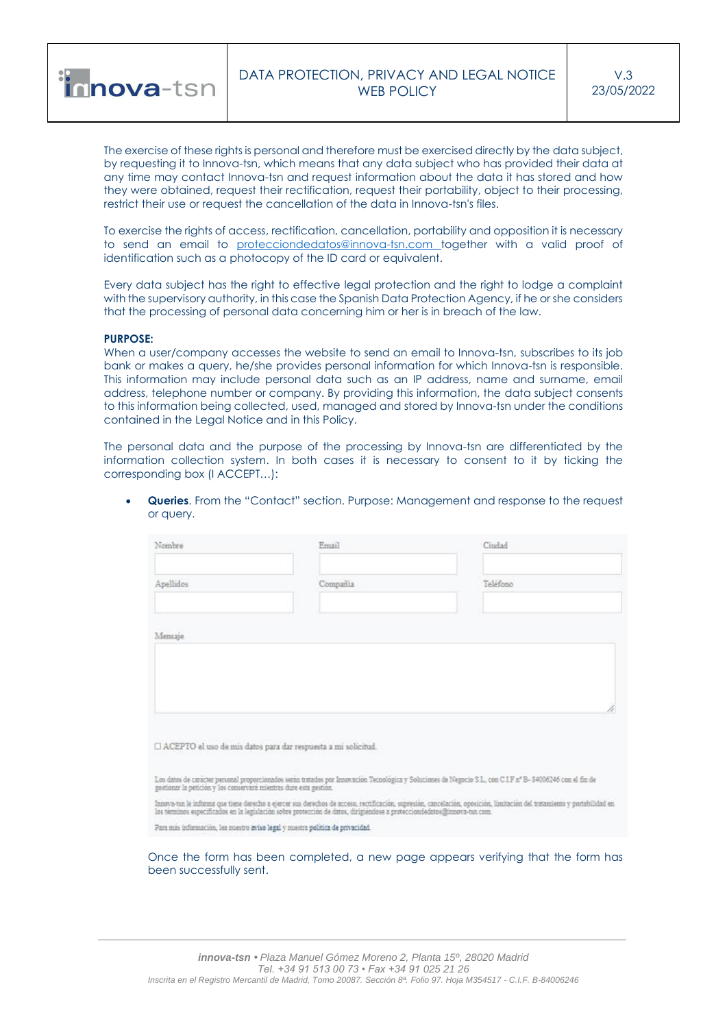

The exercise of these rights is personal and therefore must be exercised directly by the data subject, by requesting it to Innova-tsn, which means that any data subject who has provided their data at any time may contact Innova-tsn and request information about the data it has stored and how they were obtained, request their rectification, request their portability, object to their processing, restrict their use or request the cancellation of the data in Innova-tsn's files.

To exercise the rights of access, rectification, cancellation, portability and opposition it is necessary to send an email to [protecciondedatos@innova-tsn.com t](mailto:protecciondedatos@innova-tsn.com)ogether with a valid proof of identification such as a photocopy of the ID card or equivalent.

Every data subject has the right to effective legal protection and the right to lodge a complaint with the supervisory authority, in this case the Spanish Data Protection Agency, if he or she considers that the processing of personal data concerning him or her is in breach of the law.

#### **PURPOSE:**

When a user/company accesses the website to send an email to Innova-tsn, subscribes to its job bank or makes a query, he/she provides personal information for which Innova-tsn is responsible. This information may include personal data such as an IP address, name and surname, email address, telephone number or company. By providing this information, the data subject consents to this information being collected, used, managed and stored by Innova-tsn under the conditions contained in the Legal Notice and in this Policy.

The personal data and the purpose of the processing by Innova-tsn are differentiated by the information collection system. In both cases it is necessary to consent to it by ticking the corresponding box (I ACCEPT…):

• **Queries**. From the "Contact" section. Purpose: Management and response to the request or query.

| Nombre                                                             | Email                                                                                                                   | Cindad                                                                                                                                                                   |
|--------------------------------------------------------------------|-------------------------------------------------------------------------------------------------------------------------|--------------------------------------------------------------------------------------------------------------------------------------------------------------------------|
| Apellidos                                                          | Compañia                                                                                                                | Teléfono                                                                                                                                                                 |
| Mensaje                                                            |                                                                                                                         |                                                                                                                                                                          |
|                                                                    |                                                                                                                         |                                                                                                                                                                          |
|                                                                    |                                                                                                                         |                                                                                                                                                                          |
|                                                                    | □ ACEPTO el uso de mis datos para dar respuesta a mi solicitud.                                                         |                                                                                                                                                                          |
| pastioner la petición y los conservará mientras dure esta gestión. |                                                                                                                         | Los datos de carácter personal proporcionados serán tratados por Innovación Tecnológica y Soluciones de Negocio S.L. con C.I.F.nº B- 34006246 con el fin de              |
|                                                                    | los terminos especificados en la legislación sobre protección de datos, dirigiendose a protecciondedatos@innova-tun com | Innova-tan le informa que tiene derecho a ejercer sus derechos de acceso, rectificación, supresión, cancelación, oposición, limitación del tratamiento y portabilidad en |
|                                                                    | Para más información, les muestro aviso legal y muestra política de privacidad.                                         |                                                                                                                                                                          |
| been successfully sent.                                            |                                                                                                                         | Once the form has been completed, a new page appears verifying that the form has                                                                                         |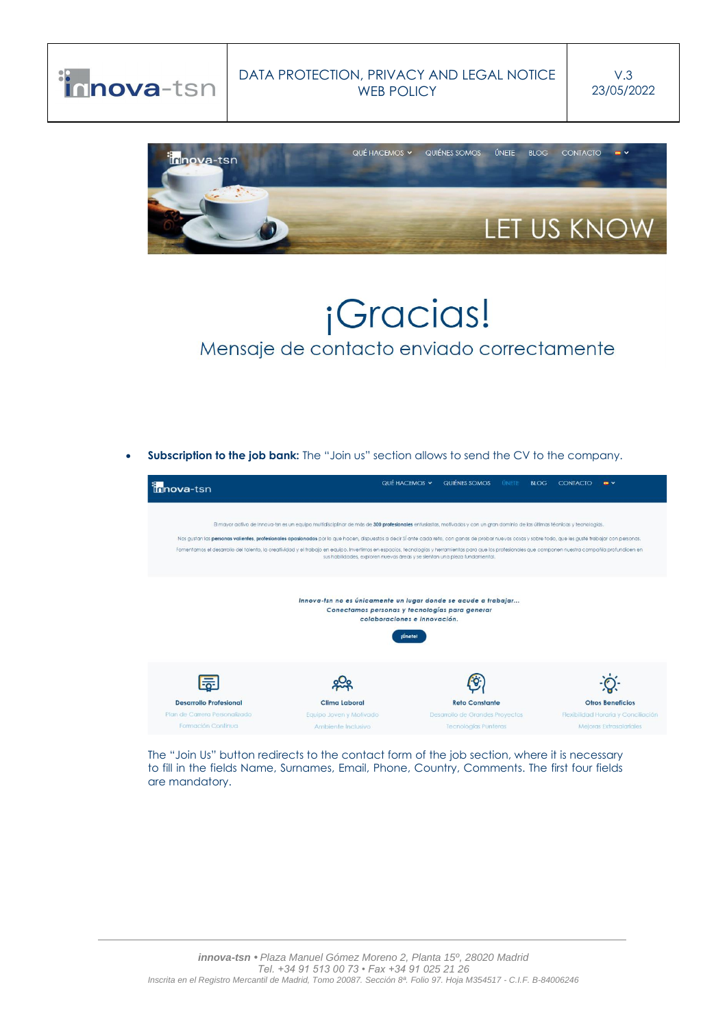



# ¡Gracias! Mensaje de contacto enviado correctamente

• **Subscription to the job bank:** The "Join us" section allows to send the CV to the company.



The "Join Us" button redirects to the contact form of the job section, where it is necessary to fill in the fields Name, Surnames, Email, Phone, Country, Comments. The first four fields are mandatory.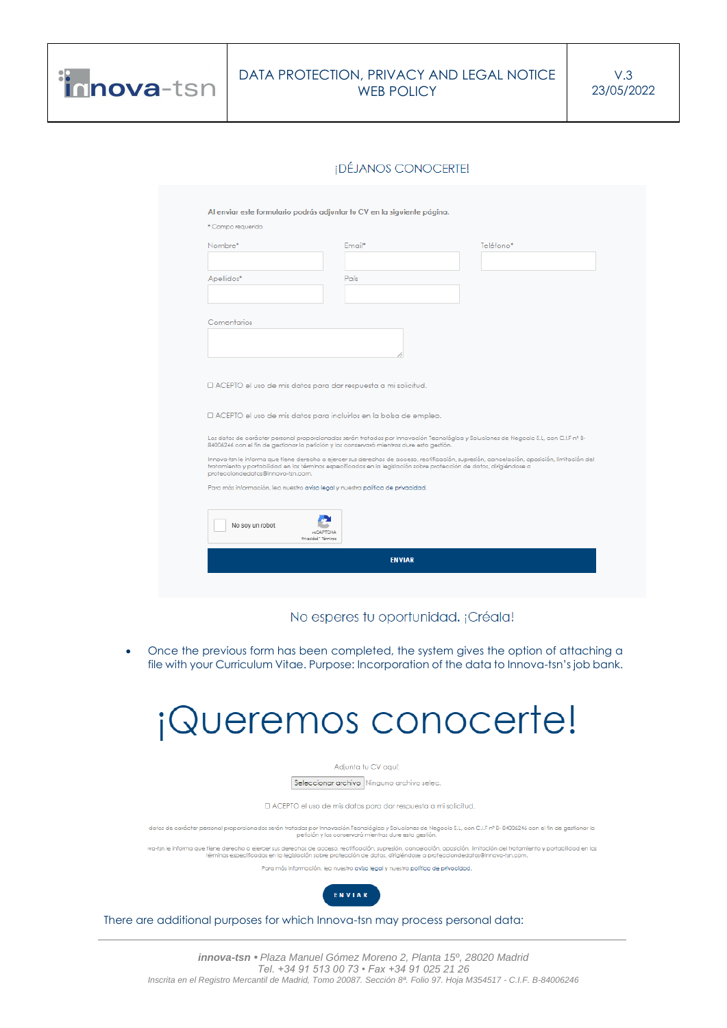

## DATA PROTECTION, PRIVACY AND LEGAL NOTICE WEB POLICY

# **IDÉJANOS CONOCERTE!**

| Nombre*                           | Email*                                                                                                               | Teléfono*                                                                                                                                  |
|-----------------------------------|----------------------------------------------------------------------------------------------------------------------|--------------------------------------------------------------------------------------------------------------------------------------------|
|                                   |                                                                                                                      |                                                                                                                                            |
| Apellidos*                        | País                                                                                                                 |                                                                                                                                            |
|                                   |                                                                                                                      |                                                                                                                                            |
|                                   |                                                                                                                      |                                                                                                                                            |
| Comentarios                       |                                                                                                                      |                                                                                                                                            |
|                                   |                                                                                                                      |                                                                                                                                            |
|                                   |                                                                                                                      |                                                                                                                                            |
|                                   |                                                                                                                      |                                                                                                                                            |
|                                   |                                                                                                                      |                                                                                                                                            |
|                                   | □ ACEPTO el uso de mis datos para dar respuesta a mi solicitud.                                                      |                                                                                                                                            |
|                                   |                                                                                                                      |                                                                                                                                            |
|                                   | □ ACEPTO el uso de mis datos para incluirlos en la bolsa de empleo.                                                  |                                                                                                                                            |
|                                   |                                                                                                                      |                                                                                                                                            |
|                                   | 84006246 con el fin de gestionar la petición y los conservará mientras dure esta gestión.                            | Los datos de carácter personal proporcionados serán tratados por Innovación Tecnológica y Soluciones de Negocio S.L, con C.I.F nº 8-       |
|                                   | tratamiento y portabilidad en los términos especificados en la legislación sobre protección de datos, dirigiéndose a | Innova-tsn le informa que tiene derecho a ejercer sus derechos de acceso, rectificación, supresión, cancelación, oposición, limitación del |
| protecciondedatas@innova-tsn.com. |                                                                                                                      |                                                                                                                                            |
|                                   | Para más información, lea nuestro aviso legal y nuestra política de privacidad.                                      |                                                                                                                                            |
|                                   |                                                                                                                      |                                                                                                                                            |
| No soy un robot                   | Privacidad * Términos                                                                                                |                                                                                                                                            |

#### No esperes tu oportunidad. ¡Créala!

• Once the previous form has been completed, the system gives the option of attaching a file with your Curriculum Vitae. Purpose: Incorporation of the data to Innova-tsn's job bank.

# ¡Queremos conocerte!

#### Adjunta tu CV aguí:

Seleccionar archivo Ninguno archivo selec.

□ ACEPTO el uso de mis datos para dar respuesta a mi solicitud.

datos de carácter personal proporcionados serán tratados por Innovación Tecnológica y Soluciones de Negocio S.L, con C.I.F nº 8-84006246 con el fin de gestionar la petición y los conservará mientras dure esta gestión.

tsn le informa que tiene derecho a ejercer sus derechos de acceso, rectificación, supresión, concelación, oposición, imitación del tratam<br>términos especificados en la legislación sobre protección de datos, dirigiéndose a p .<br>ción, limitación del tratamiento y portabilidad en los

Para más información, lea nuestro aviso legal y nuestra política de privacidad.



There are additional purposes for which Innova-tsn may process personal data: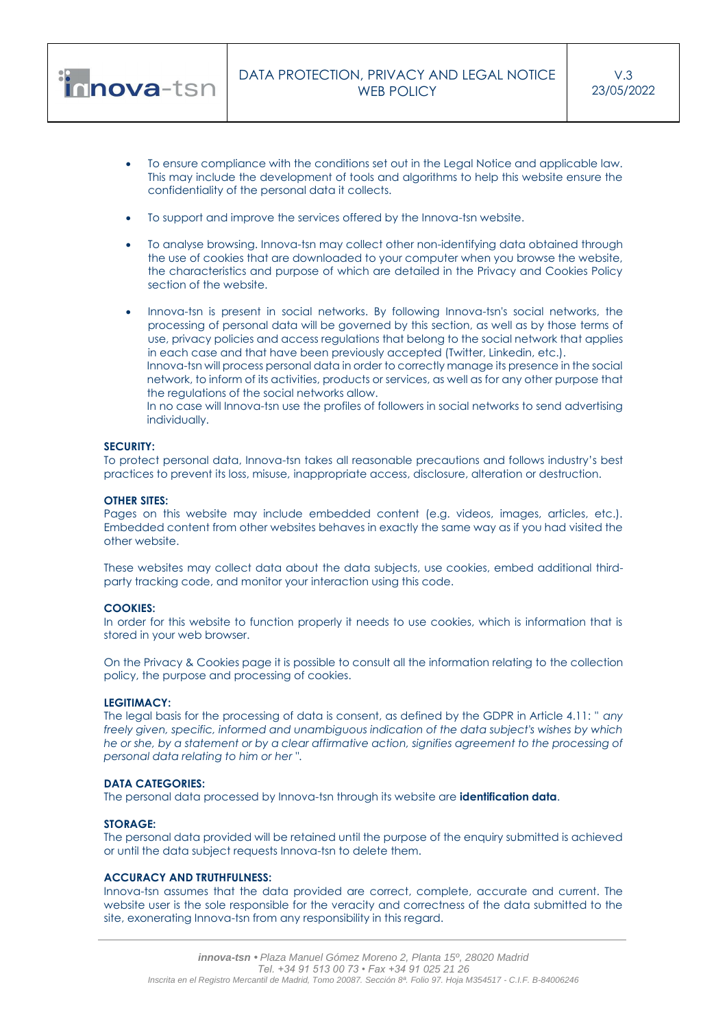innova-tsn

- To ensure compliance with the conditions set out in the Legal Notice and applicable law. This may include the development of tools and algorithms to help this website ensure the confidentiality of the personal data it collects.
- To support and improve the services offered by the Innova-tsn website.
- To analyse browsing. Innova-tsn may collect other non-identifying data obtained through the use of cookies that are downloaded to your computer when you browse the website, the characteristics and purpose of which are detailed in the Privacy and Cookies Policy section of the website.
- Innova-tsn is present in social networks. By following Innova-tsn's social networks, the processing of personal data will be governed by this section, as well as by those terms of use, privacy policies and access regulations that belong to the social network that applies in each case and that have been previously accepted (Twitter, Linkedin, etc.). Innova-tsn will process personal data in order to correctly manage its presence in the social network, to inform of its activities, products or services, as well as for any other purpose that the regulations of the social networks allow. In no case will Innova-tsn use the profiles of followers in social networks to send advertising individually.

#### **SECURITY:**

To protect personal data, Innova-tsn takes all reasonable precautions and follows industry's best practices to prevent its loss, misuse, inappropriate access, disclosure, alteration or destruction.

#### **OTHER SITES:**

Pages on this website may include embedded content (e.g. videos, images, articles, etc.). Embedded content from other websites behaves in exactly the same way as if you had visited the other website.

These websites may collect data about the data subjects, use cookies, embed additional thirdparty tracking code, and monitor your interaction using this code.

#### **COOKIES:**

In order for this website to function properly it needs to use cookies, which is information that is stored in your web browser.

On the Privacy & Cookies page it is possible to consult all the information relating to the collection policy, the purpose and processing of cookies.

#### **LEGITIMACY:**

The legal basis for the processing of data is consent, as defined by the GDPR in Article 4.11: *" any freely given, specific, informed and unambiguous indication of the data subject's wishes by which he or she, by a statement or by a clear affirmative action, signifies agreement to the processing of personal data relating to him or her "*.

#### **DATA CATEGORIES:**

The personal data processed by Innova-tsn through its website are **identification data**.

#### **STORAGE:**

The personal data provided will be retained until the purpose of the enquiry submitted is achieved or until the data subject requests Innova-tsn to delete them.

#### **ACCURACY AND TRUTHFULNESS:**

Innova-tsn assumes that the data provided are correct, complete, accurate and current. The website user is the sole responsible for the veracity and correctness of the data submitted to the site, exonerating Innova-tsn from any responsibility in this regard.